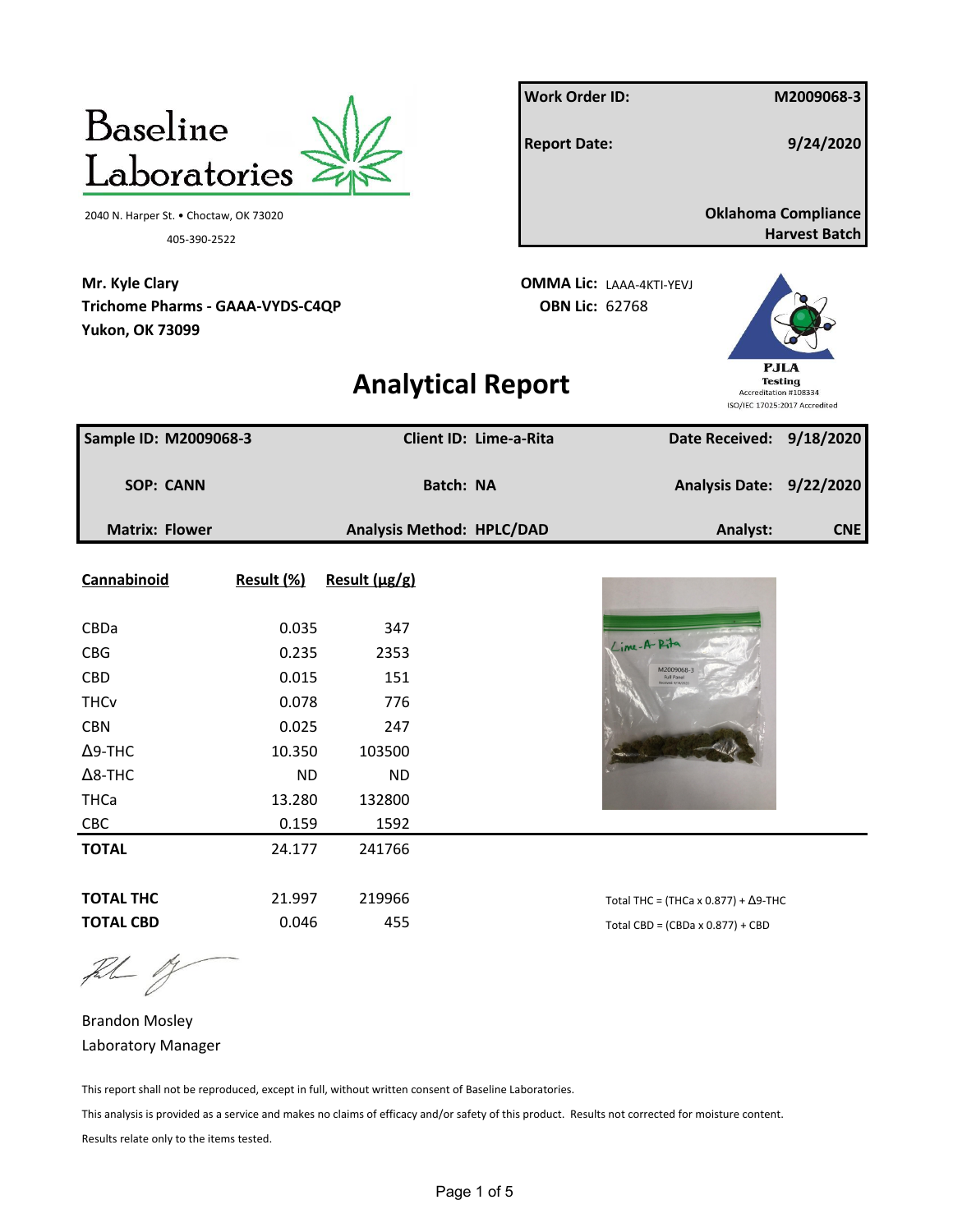|                                         |            |               |                           | <b>Work Order ID:</b> |                                                |                       | M2009068-3                    |
|-----------------------------------------|------------|---------------|---------------------------|-----------------------|------------------------------------------------|-----------------------|-------------------------------|
| <b>Baseline</b>                         |            |               |                           | <b>Report Date:</b>   |                                                |                       | 9/24/2020                     |
| Laboratories                            |            |               |                           |                       |                                                |                       |                               |
| 2040 N. Harper St. • Choctaw, OK 73020  |            |               |                           |                       |                                                |                       | <b>Oklahoma Compliance</b>    |
| 405-390-2522                            |            |               |                           |                       |                                                |                       | <b>Harvest Batch</b>          |
| Mr. Kyle Clary                          |            |               |                           |                       | <b>OMMA Lic: LAAA-4KTI-YEVJ</b>                |                       |                               |
| <b>Trichome Pharms - GAAA-VYDS-C4QP</b> |            |               |                           | <b>OBN Lic: 62768</b> |                                                |                       |                               |
| <b>Yukon, OK 73099</b>                  |            |               |                           |                       |                                                |                       |                               |
|                                         |            |               | <b>Analytical Report</b>  |                       |                                                |                       | PJLA<br><b>Testing</b>        |
|                                         |            |               |                           |                       |                                                | Accreditation #108334 | ISO/IEC 17025:2017 Accredited |
| Sample ID: M2009068-3                   |            |               | Client ID: Lime-a-Rita    |                       |                                                |                       | Date Received: 9/18/2020      |
|                                         |            |               |                           |                       |                                                |                       |                               |
| <b>SOP: CANN</b>                        |            |               | <b>Batch: NA</b>          |                       |                                                |                       | Analysis Date: 9/22/2020      |
| <b>Matrix: Flower</b>                   |            |               | Analysis Method: HPLC/DAD |                       |                                                | Analyst:              | CNE                           |
| Cannabinoid                             | Result (%) | Result (µg/g) |                           |                       |                                                |                       |                               |
|                                         |            |               |                           |                       |                                                |                       |                               |
| CBDa                                    | 0.035      | 347           |                           |                       |                                                |                       |                               |
| <b>CBG</b>                              | 0.235      | 2353          |                           |                       | Lime-A-Pita                                    |                       |                               |
| <b>CBD</b>                              | 0.015      | 151           |                           |                       | M2009068-3                                     |                       |                               |
| <b>THCv</b>                             | 0.078      | 776           |                           |                       |                                                |                       |                               |
| <b>CBN</b>                              | 0.025      | 247           |                           |                       |                                                |                       |                               |
| $\Delta$ 9-THC                          | 10.350     | 103500        |                           |                       |                                                |                       |                               |
| $\Delta$ 8-THC                          | <b>ND</b>  | <b>ND</b>     |                           |                       |                                                |                       |                               |
| <b>THCa</b>                             | 13.280     | 132800        |                           |                       |                                                |                       |                               |
| CBC                                     | 0.159      | 1592          |                           |                       |                                                |                       |                               |
| <b>TOTAL</b>                            | 24.177     | 241766        |                           |                       |                                                |                       |                               |
| <b>TOTAL THC</b>                        | 21.997     | 219966        |                           |                       | Total THC = (THCa x $0.877$ ) + $\Delta$ 9-THC |                       |                               |
| <b>TOTAL CBD</b>                        | 0.046      | 455           |                           |                       | Total CBD = $(CBDa \times 0.877) + CBD$        |                       |                               |

 $\begin{picture}(20,20) \put(0,0){\vector(1,0){10}} \put(15,0){\vector(1,0){10}} \put(15,0){\vector(1,0){10}} \put(15,0){\vector(1,0){10}} \put(15,0){\vector(1,0){10}} \put(15,0){\vector(1,0){10}} \put(15,0){\vector(1,0){10}} \put(15,0){\vector(1,0){10}} \put(15,0){\vector(1,0){10}} \put(15,0){\vector(1,0){10}} \put(15,0){\vector(1,0){10}} \put(15,0){\vector(1$ 

Brandon Mosley Laboratory Manager

This report shall not be reproduced, except in full, without written consent of Baseline Laboratories.

This analysis is provided as a service and makes no claims of efficacy and/or safety of this product. Results not corrected for moisture content. Results relate only to the items tested.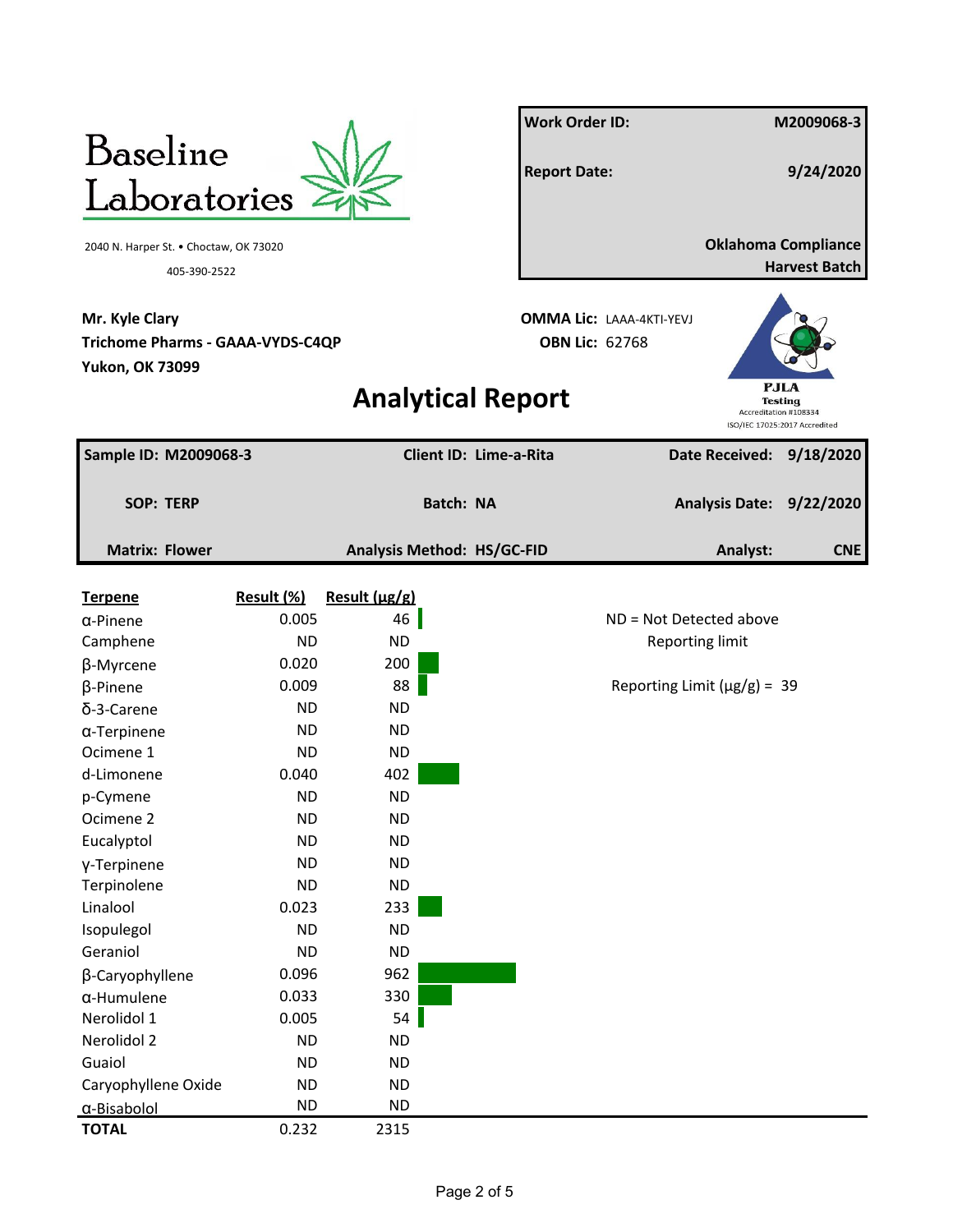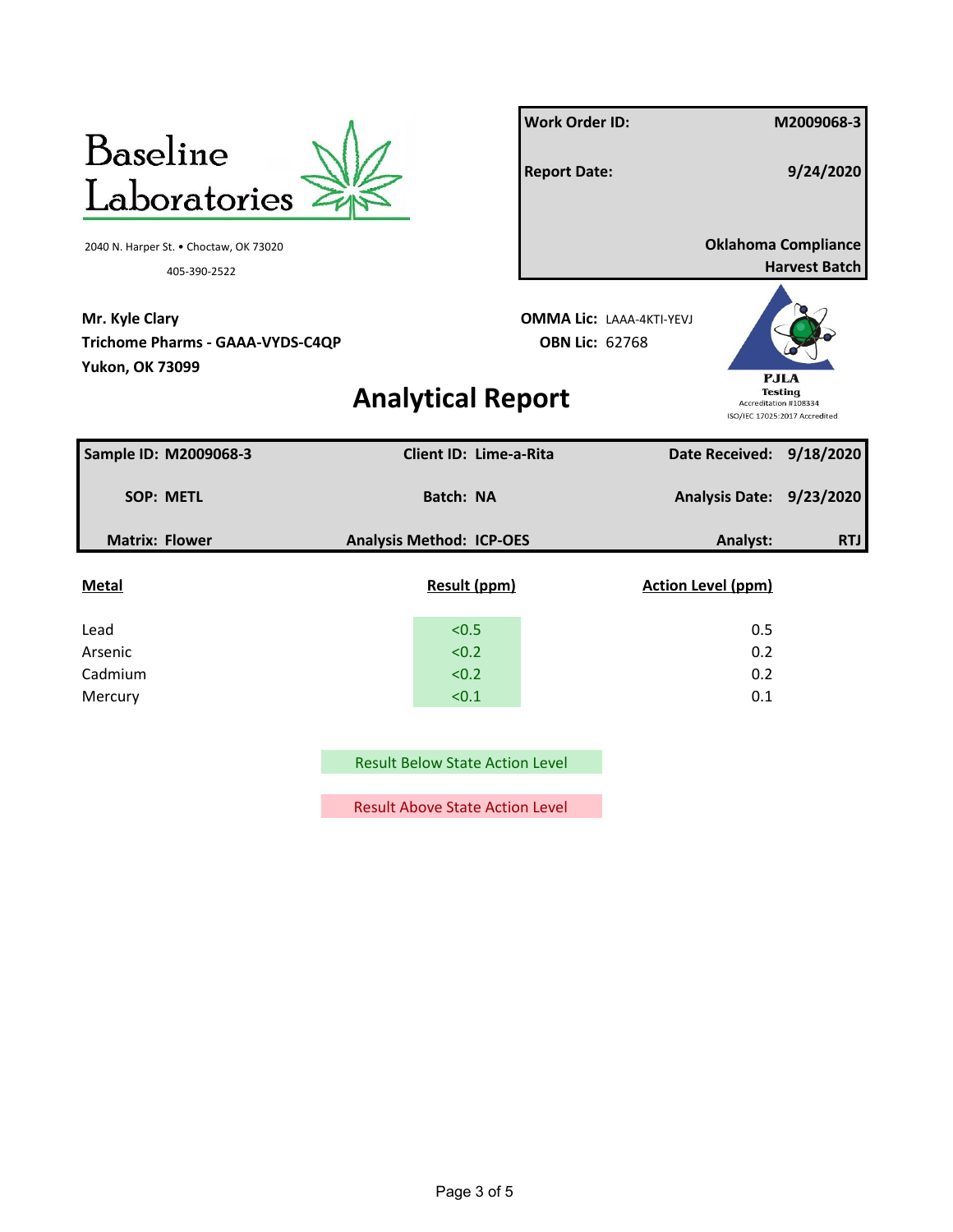

Result Below State Action Level

Result Above State Action Level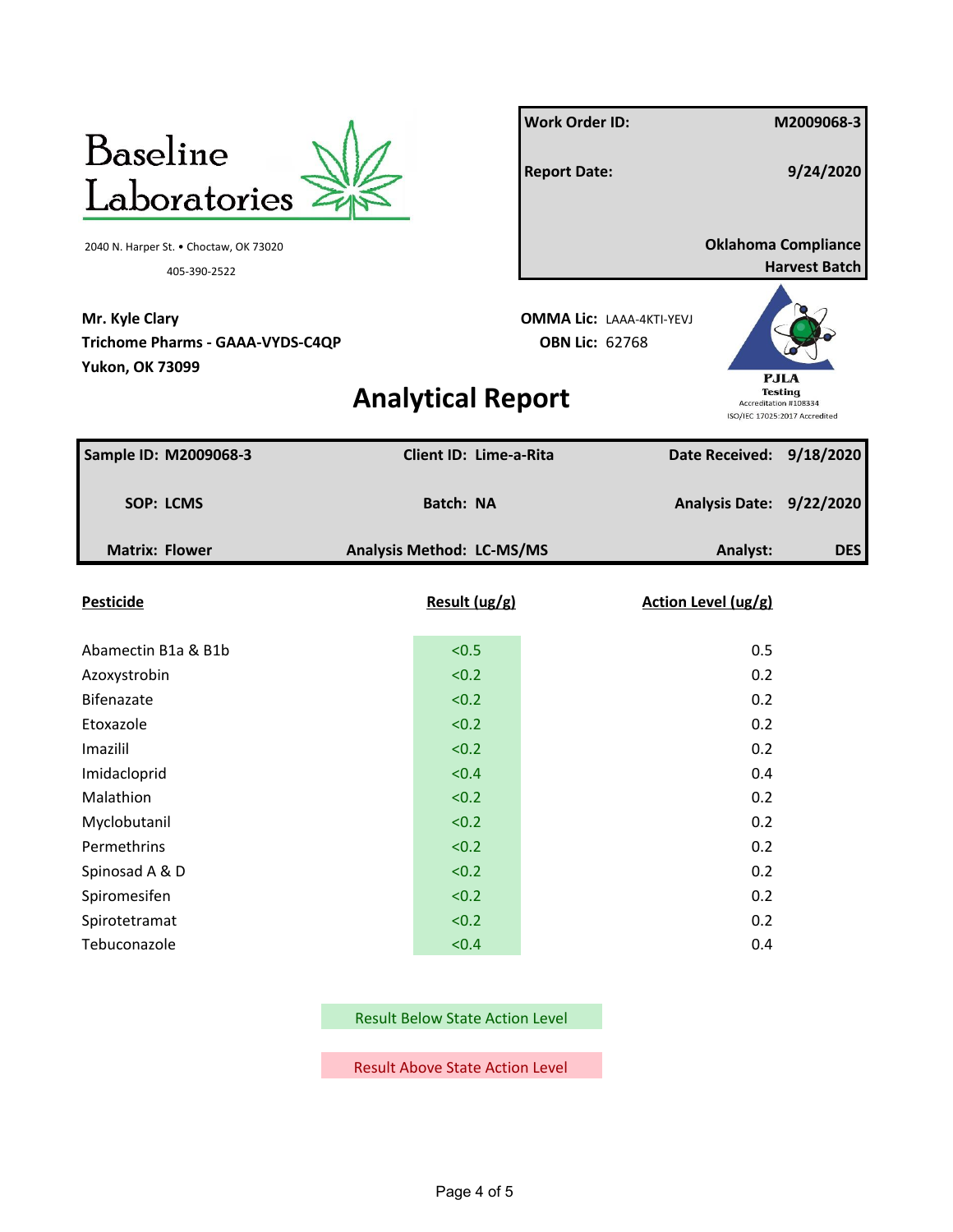

**Mr. Kyle Clary OMMA Lic:** LAAA-4KTI-YEVJ **Trichome Pharms - GAAA-VYDS-C4QP OBN Lic:** 62768 **Yukon, OK 73099**

**Work Order ID: M2009068-3 Report Date: 9/24/2020** 2040 N. Harper St. • Choctaw, OK 73020 **Oklahoma Compliance** 405-390-2522 **Harvest Batch**

**Analytical Report**



| Sample ID: M2009068-3 | Client ID: Lime-a-Rita    | Date Received: 9/18/2020 |            |
|-----------------------|---------------------------|--------------------------|------------|
| SOP: LCMS             | Batch: NA                 | Analysis Date: 9/22/2020 |            |
| <b>Matrix: Flower</b> | Analysis Method: LC-MS/MS | Analyst:                 | <b>DES</b> |
| <b>Pesticide</b>      | Result (ug/g)             | Action Level (ug/g)      |            |
| Abamectin B1a & B1b   | < 0.5                     | 0.5                      |            |
| Azoxystrobin          | < 0.2                     | 0.2                      |            |
| Bifenazate            | < 0.2                     | 0.2                      |            |
| Etoxazole             | < 0.2                     | 0.2                      |            |
| Imazilil              | < 0.2                     | 0.2                      |            |
| Imidacloprid          | < 0.4                     | 0.4                      |            |
| Malathion             | < 0.2                     | 0.2                      |            |
| Myclobutanil          | < 0.2                     | 0.2                      |            |
| Permethrins           | < 0.2                     | 0.2                      |            |
| Spinosad A & D        | < 0.2                     | 0.2                      |            |
| Spiromesifen          | < 0.2                     | 0.2                      |            |
| Spirotetramat         | < 0.2                     | 0.2                      |            |
| Tebuconazole          | < 0.4                     | 0.4                      |            |

Result Below State Action Level

Result Above State Action Level